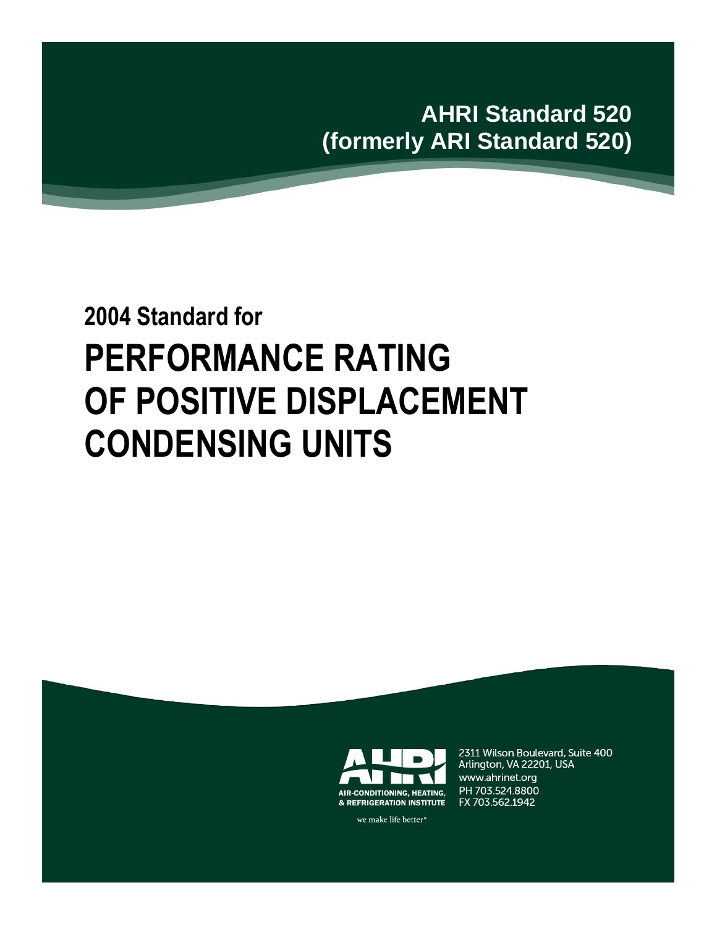**AHRI Standard 520 (formerly ARI Standard 520)**

# **2004 Standard for PERFORMANCE RATING OF POSITIVE DISPLACEMENT CONDENSING UNITS**



2311 Wilson Boulevard, Suite 400 Arlington, VA 22201, USA www.ahrinet.org PH 703.524.8800 FX 703.562.1942

we make life better<sup>®</sup>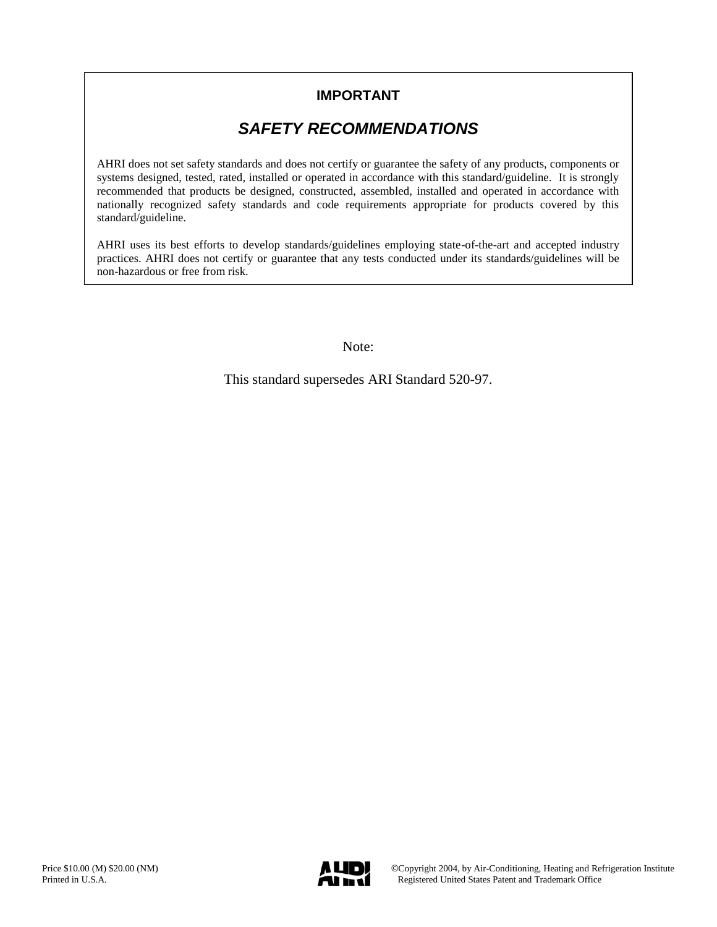## **IMPORTANT**

# *SAFETY RECOMMENDATIONS*

AHRI does not set safety standards and does not certify or guarantee the safety of any products, components or systems designed, tested, rated, installed or operated in accordance with this standard/guideline. It is strongly recommended that products be designed, constructed, assembled, installed and operated in accordance with nationally recognized safety standards and code requirements appropriate for products covered by this standard/guideline.

AHRI uses its best efforts to develop standards/guidelines employing state-of-the-art and accepted industry practices. AHRI does not certify or guarantee that any tests conducted under its standards/guidelines will be non-hazardous or free from risk.

Note:

This standard supersedes ARI Standard 520-97.

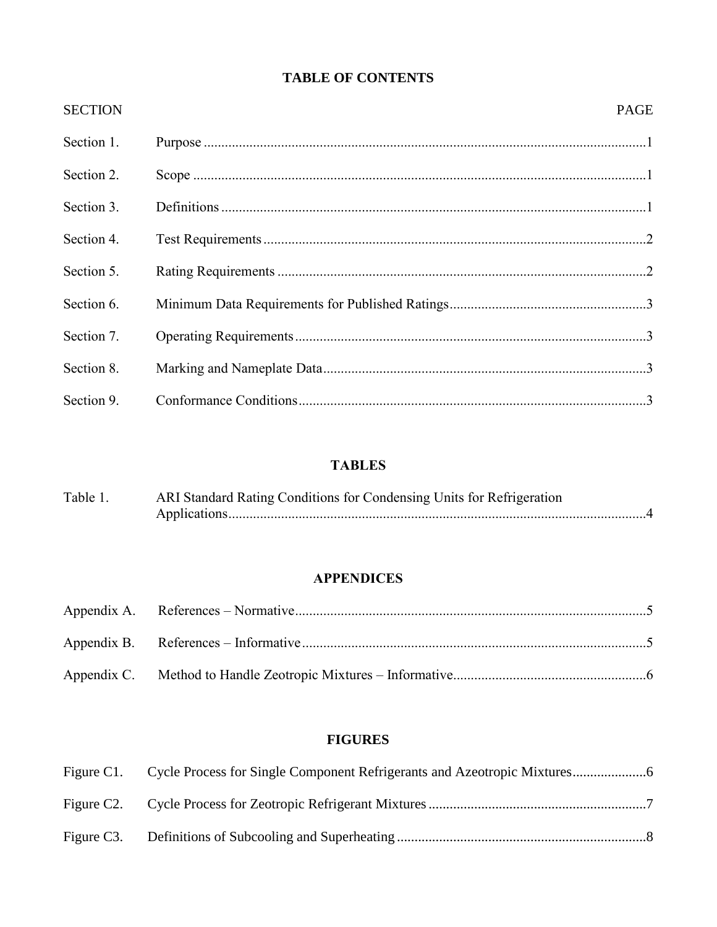## **TABLE OF CONTENTS**

| <b>SECTION</b> | <b>PAGE</b> |  |
|----------------|-------------|--|
| Section 1.     |             |  |
| Section 2.     |             |  |
| Section 3.     |             |  |
| Section 4.     |             |  |
| Section 5.     |             |  |
| Section 6.     |             |  |
| Section 7.     |             |  |
| Section 8.     |             |  |
| Section 9.     |             |  |

## **TABLES**

| Table 1. | ARI Standard Rating Conditions for Condensing Units for Refrigeration |  |  |  |  |  |
|----------|-----------------------------------------------------------------------|--|--|--|--|--|
|          |                                                                       |  |  |  |  |  |

## **APPENDICES**

## **FIGURES**

| Figure C1. Cycle Process for Single Component Refrigerants and Azeotropic Mixtures |
|------------------------------------------------------------------------------------|
|                                                                                    |
|                                                                                    |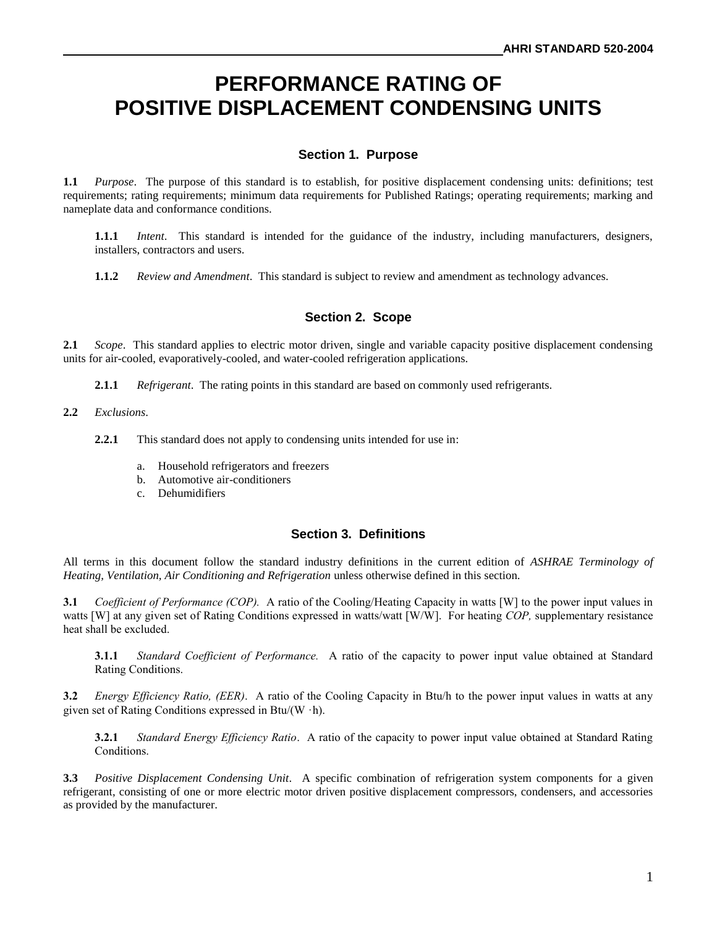# **PERFORMANCE RATING OF POSITIVE DISPLACEMENT CONDENSING UNITS**

#### **Section 1. Purpose**

**1.1** *Purpose*. The purpose of this standard is to establish, for positive displacement condensing units: definitions; test requirements; rating requirements; minimum data requirements for Published Ratings; operating requirements; marking and nameplate data and conformance conditions.

**1.1.1** *Intent*. This standard is intended for the guidance of the industry, including manufacturers, designers, installers, contractors and users.

**1.1.2** *Review and Amendment*. This standard is subject to review and amendment as technology advances.

#### **Section 2. Scope**

**2.1** *Scope*. This standard applies to electric motor driven, single and variable capacity positive displacement condensing units for air-cooled, evaporatively-cooled, and water-cooled refrigeration applications.

**2.1.1** *Refrigerant*. The rating points in this standard are based on commonly used refrigerants.

#### **2.2** *Exclusions*.

**2.2.1** This standard does not apply to condensing units intended for use in:

- a. Household refrigerators and freezers
- b. Automotive air-conditioners
- c. Dehumidifiers

#### **Section 3. Definitions**

All terms in this document follow the standard industry definitions in the current edition of *ASHRAE Terminology of Heating, Ventilation, Air Conditioning and Refrigeration* unless otherwise defined in this section.

**3.1** *Coefficient of Performance (COP).* A ratio of the Cooling/Heating Capacity in watts [W] to the power input values in watts [W] at any given set of Rating Conditions expressed in watts/watt [W/W]. For heating *COP,* supplementary resistance heat shall be excluded.

**3.1.1** *Standard Coefficient of Performance.* A ratio of the capacity to power input value obtained at Standard Rating Conditions.

**3.2** *Energy Efficiency Ratio, (EER)*. A ratio of the Cooling Capacity in Btu/h to the power input values in watts at any given set of Rating Conditions expressed in Btu/(W  $\cdot$ h).

**3.2.1** *Standard Energy Efficiency Ratio*. A ratio of the capacity to power input value obtained at Standard Rating Conditions.

**3.3** *Positive Displacement Condensing Unit*. A specific combination of refrigeration system components for a given refrigerant, consisting of one or more electric motor driven positive displacement compressors, condensers, and accessories as provided by the manufacturer.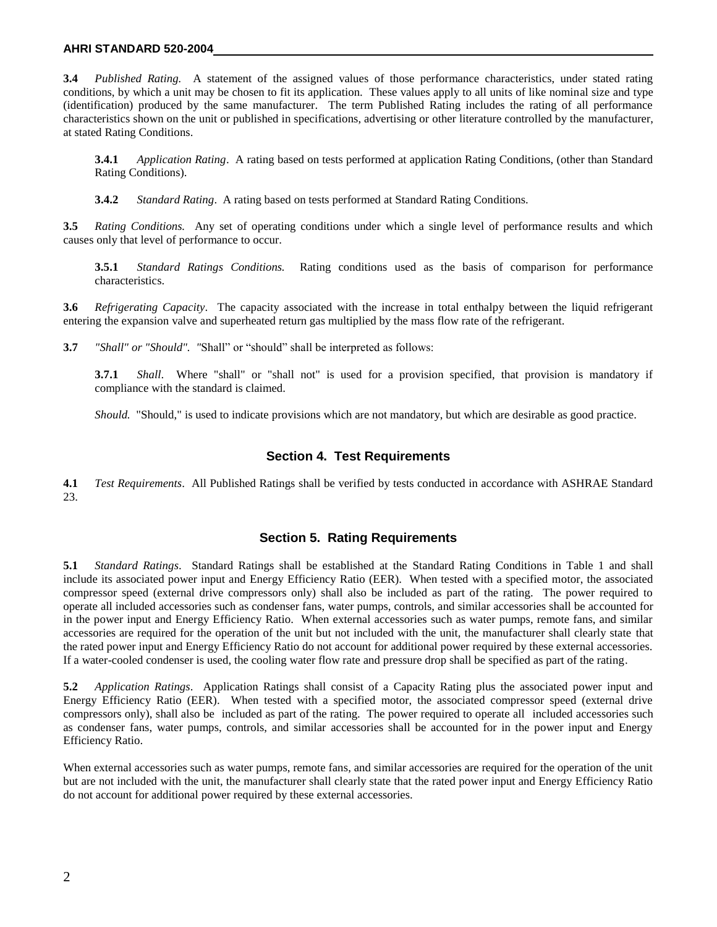#### **AHRI STANDARD 520-2004**

**3.4** *Published Rating.* A statement of the assigned values of those performance characteristics, under stated rating conditions, by which a unit may be chosen to fit its application. These values apply to all units of like nominal size and type (identification) produced by the same manufacturer. The term Published Rating includes the rating of all performance characteristics shown on the unit or published in specifications, advertising or other literature controlled by the manufacturer, at stated Rating Conditions.

**3.4.1** *Application Rating*. A rating based on tests performed at application Rating Conditions, (other than Standard Rating Conditions).

**3.4.2** *Standard Rating*. A rating based on tests performed at Standard Rating Conditions.

**3.5** *Rating Conditions.* Any set of operating conditions under which a single level of performance results and which causes only that level of performance to occur.

**3.5.1** *Standard Ratings Conditions.* Rating conditions used as the basis of comparison for performance characteristics.

**3.6** *Refrigerating Capacity*. The capacity associated with the increase in total enthalpy between the liquid refrigerant entering the expansion valve and superheated return gas multiplied by the mass flow rate of the refrigerant.

**3.7** *"Shall" or "Should". "*Shall" or "should" shall be interpreted as follows:

**3.7.1** *Shall*. Where "shall" or "shall not" is used for a provision specified, that provision is mandatory if compliance with the standard is claimed.

*Should.* "Should," is used to indicate provisions which are not mandatory, but which are desirable as good practice.

#### **Section 4. Test Requirements**

**4.1** *Test Requirements*. All Published Ratings shall be verified by tests conducted in accordance with ASHRAE Standard 23.

#### **Section 5. Rating Requirements**

**5.1** *Standard Ratings*. Standard Ratings shall be established at the Standard Rating Conditions in Table 1 and shall include its associated power input and Energy Efficiency Ratio (EER). When tested with a specified motor, the associated compressor speed (external drive compressors only) shall also be included as part of the rating. The power required to operate all included accessories such as condenser fans, water pumps, controls, and similar accessories shall be accounted for in the power input and Energy Efficiency Ratio. When external accessories such as water pumps, remote fans, and similar accessories are required for the operation of the unit but not included with the unit, the manufacturer shall clearly state that the rated power input and Energy Efficiency Ratio do not account for additional power required by these external accessories. If a water-cooled condenser is used, the cooling water flow rate and pressure drop shall be specified as part of the rating.

**5.2** *Application Ratings*. Application Ratings shall consist of a Capacity Rating plus the associated power input and Energy Efficiency Ratio (EER). When tested with a specified motor, the associated compressor speed (external drive compressors only), shall also be included as part of the rating. The power required to operate all included accessories such as condenser fans, water pumps, controls, and similar accessories shall be accounted for in the power input and Energy Efficiency Ratio.

When external accessories such as water pumps, remote fans, and similar accessories are required for the operation of the unit but are not included with the unit, the manufacturer shall clearly state that the rated power input and Energy Efficiency Ratio do not account for additional power required by these external accessories.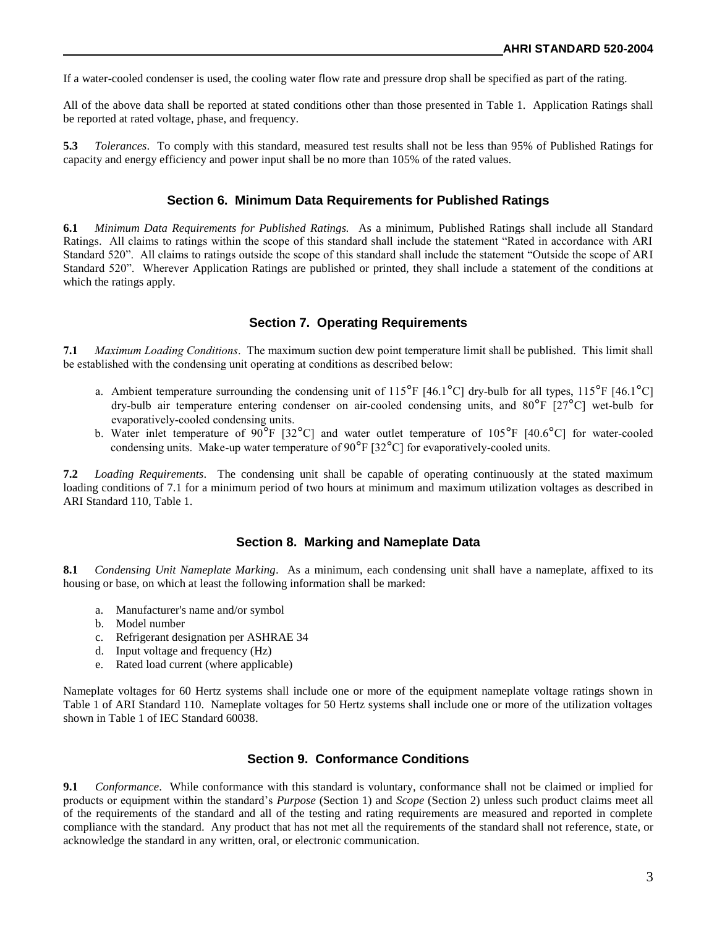If a water-cooled condenser is used, the cooling water flow rate and pressure drop shall be specified as part of the rating.

All of the above data shall be reported at stated conditions other than those presented in Table 1. Application Ratings shall be reported at rated voltage, phase, and frequency.

**5.3** *Tolerances*. To comply with this standard, measured test results shall not be less than 95% of Published Ratings for capacity and energy efficiency and power input shall be no more than 105% of the rated values.

#### **Section 6. Minimum Data Requirements for Published Ratings**

**6.1** *Minimum Data Requirements for Published Ratings.* As a minimum, Published Ratings shall include all Standard Ratings. All claims to ratings within the scope of this standard shall include the statement "Rated in accordance with ARI Standard 520". All claims to ratings outside the scope of this standard shall include the statement "Outside the scope of ARI Standard 520". Wherever Application Ratings are published or printed, they shall include a statement of the conditions at which the ratings apply.

#### **Section 7. Operating Requirements**

**7.1** *Maximum Loading Conditions*. The maximum suction dew point temperature limit shall be published. This limit shall be established with the condensing unit operating at conditions as described below:

- a. Ambient temperature surrounding the condensing unit of  $115^{\circ}F$  [46.1°C] dry-bulb for all types,  $115^{\circ}F$  [46.1°C] dry-bulb air temperature entering condenser on air-cooled condensing units, and 80°F [27°C] wet-bulb for evaporatively-cooled condensing units.
- b. Water inlet temperature of 90<sup>°</sup>F [32<sup>°</sup>C] and water outlet temperature of 105<sup>°</sup>F [40.6<sup>°</sup>C] for water-cooled condensing units. Make-up water temperature of 90 $\degree$ F [32 $\degree$ C] for evaporatively-cooled units.

**7.2** *Loading Requirements*. The condensing unit shall be capable of operating continuously at the stated maximum loading conditions of 7.1 for a minimum period of two hours at minimum and maximum utilization voltages as described in ARI Standard 110, Table 1.

#### **Section 8. Marking and Nameplate Data**

**8.1** *Condensing Unit Nameplate Marking*. As a minimum, each condensing unit shall have a nameplate, affixed to its housing or base, on which at least the following information shall be marked:

- a. Manufacturer's name and/or symbol
- b. Model number
- c. Refrigerant designation per ASHRAE 34
- d. Input voltage and frequency (Hz)
- e. Rated load current (where applicable)

Nameplate voltages for 60 Hertz systems shall include one or more of the equipment nameplate voltage ratings shown in Table 1 of ARI Standard 110. Nameplate voltages for 50 Hertz systems shall include one or more of the utilization voltages shown in Table 1 of IEC Standard 60038.

#### **Section 9. Conformance Conditions**

**9.1** *Conformance*. While conformance with this standard is voluntary, conformance shall not be claimed or implied for products or equipment within the standard's *Purpose* (Section 1) and *Scope* (Section 2) unless such product claims meet all of the requirements of the standard and all of the testing and rating requirements are measured and reported in complete compliance with the standard. Any product that has not met all the requirements of the standard shall not reference, state, or acknowledge the standard in any written, oral, or electronic communication.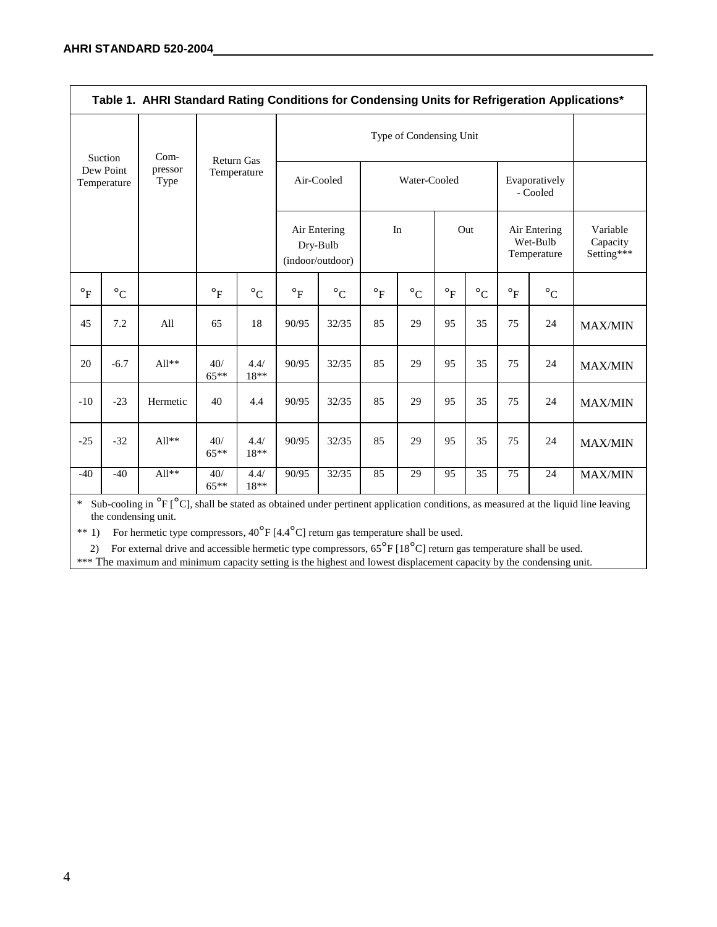| Table 1. AHRI Standard Rating Conditions for Condensing Units for Refrigeration Applications* |                 |                   |                                  |                       |                                                            |                 |                |                       |                      |                      |                           |                                         |                                    |
|-----------------------------------------------------------------------------------------------|-----------------|-------------------|----------------------------------|-----------------------|------------------------------------------------------------|-----------------|----------------|-----------------------|----------------------|----------------------|---------------------------|-----------------------------------------|------------------------------------|
| Suction<br>Dew Point<br>Temperature                                                           |                 | $Com-$            | <b>Return Gas</b><br>Temperature |                       |                                                            |                 |                |                       |                      |                      |                           |                                         |                                    |
|                                                                                               |                 | pressor<br>Type   |                                  |                       | Air-Cooled<br>Air Entering<br>Dry-Bulb<br>(indoor/outdoor) |                 | Water-Cooled   |                       |                      |                      | Evaporatively<br>- Cooled |                                         |                                    |
|                                                                                               |                 |                   |                                  |                       |                                                            |                 |                | In                    |                      | Out                  |                           | Air Entering<br>Wet-Bulb<br>Temperature | Variable<br>Capacity<br>Setting*** |
| $\mathsf{P}_F$                                                                                | $\circ_{\rm C}$ |                   | $\circ_F$                        | $\circ_{\mathcal{C}}$ | $\mathsf{P}_F$                                             | $\circ_{\rm C}$ | $\mathsf{P}_F$ | $\circ_{\mathcal{C}}$ | $\circ_{\mathrm{F}}$ | $\circ_{\mathsf{C}}$ | $\mathsf{P}_F$            | $\circ_{\mathsf{C}}$                    |                                    |
| 45                                                                                            | 7.2             | All               | 65                               | 18                    | 90/95                                                      | 32/35           | 85             | 29                    | 95                   | 35                   | 75                        | 24                                      | <b>MAX/MIN</b>                     |
| 20                                                                                            | $-6.7$          | $All**$           | 40/<br>$65**$                    | 4.4/<br>18**          | 90/95                                                      | 32/35           | 85             | 29                    | 95                   | 35                   | 75                        | 24                                      | <b>MAX/MIN</b>                     |
| $-10$                                                                                         | $-23$           | Hermetic          | 40                               | 4.4                   | 90/95                                                      | 32/35           | 85             | 29                    | 95                   | 35                   | 75                        | 24                                      | <b>MAX/MIN</b>                     |
| $-25$                                                                                         | $-32$           | $\text{All}^{**}$ | 40/<br>$65**$                    | 4.4/<br>$18**$        | 90/95                                                      | 32/35           | 85             | 29                    | 95                   | 35                   | 75                        | 24                                      | <b>MAX/MIN</b>                     |
| $-40$                                                                                         | $-40$           | $All**$           | 40/<br>$65***$                   | 4.4/<br>$18**$        | 90/95                                                      | 32/35           | 85             | 29                    | 95                   | 35                   | 75                        | 24                                      | <b>MAX/MIN</b>                     |

\* Sub-cooling in  ${}^{o}F$  [ ${}^{o}C$ ], shall be stated as obtained under pertinent application conditions, as measured at the liquid line leaving the condensing unit.

\*\* 1) For hermetic type compressors,  $40^{\circ}$ F [4.4 $^{\circ}$ C] return gas temperature shall be used.

2) For external drive and accessible hermetic type compressors,  $65^{\circ}$ F [18°C] return gas temperature shall be used.

\*\*\* The maximum and minimum capacity setting is the highest and lowest displacement capacity by the condensing unit.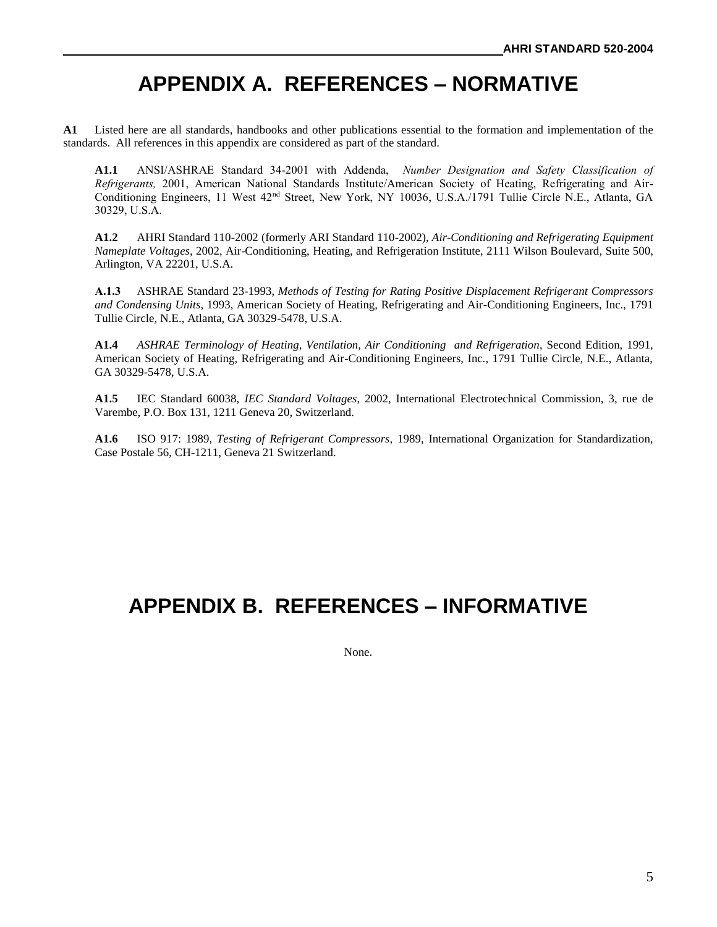# **APPENDIX A. REFERENCES – NORMATIVE**

**A1** Listed here are all standards, handbooks and other publications essential to the formation and implementation of the standards. All references in this appendix are considered as part of the standard.

**A1.1** ANSI/ASHRAE Standard 34-2001 with Addenda, *Number Designation and Safety Classification of Refrigerants,* 2001, American National Standards Institute/American Society of Heating, Refrigerating and Air-Conditioning Engineers, 11 West 42nd Street, New York, NY 10036, U.S.A./1791 Tullie Circle N.E., Atlanta, GA 30329, U.S.A.

**A1.2** AHRI Standard 110-2002 (formerly ARI Standard 110-2002), *Air-Conditioning and Refrigerating Equipment Nameplate Voltages*, 2002, Air-Conditioning, Heating, and Refrigeration Institute, 2111 Wilson Boulevard, Suite 500, Arlington, VA 22201, U.S.A.

**A.1.3** ASHRAE Standard 23-1993, *Methods of Testing for Rating Positive Displacement Refrigerant Compressors and Condensing Units*, 1993, American Society of Heating, Refrigerating and Air-Conditioning Engineers, Inc., 1791 Tullie Circle, N.E., Atlanta, GA 30329-5478, U.S.A.

**A1.4** *ASHRAE Terminology of Heating, Ventilation, Air Conditioning and Refrigeration*, Second Edition, 1991, American Society of Heating, Refrigerating and Air-Conditioning Engineers, Inc., 1791 Tullie Circle, N.E., Atlanta, GA 30329-5478, U.S.A.

**A1.5** IEC Standard 60038, *IEC Standard Voltages*, 2002, International Electrotechnical Commission, 3, rue de Varembe, P.O. Box 131, 1211 Geneva 20, Switzerland.

**A1.6** ISO 917: 1989, *Testing of Refrigerant Compressors,* 1989, International Organization for Standardization, Case Postale 56, CH-1211, Geneva 21 Switzerland.

# **APPENDIX B. REFERENCES – INFORMATIVE**

None.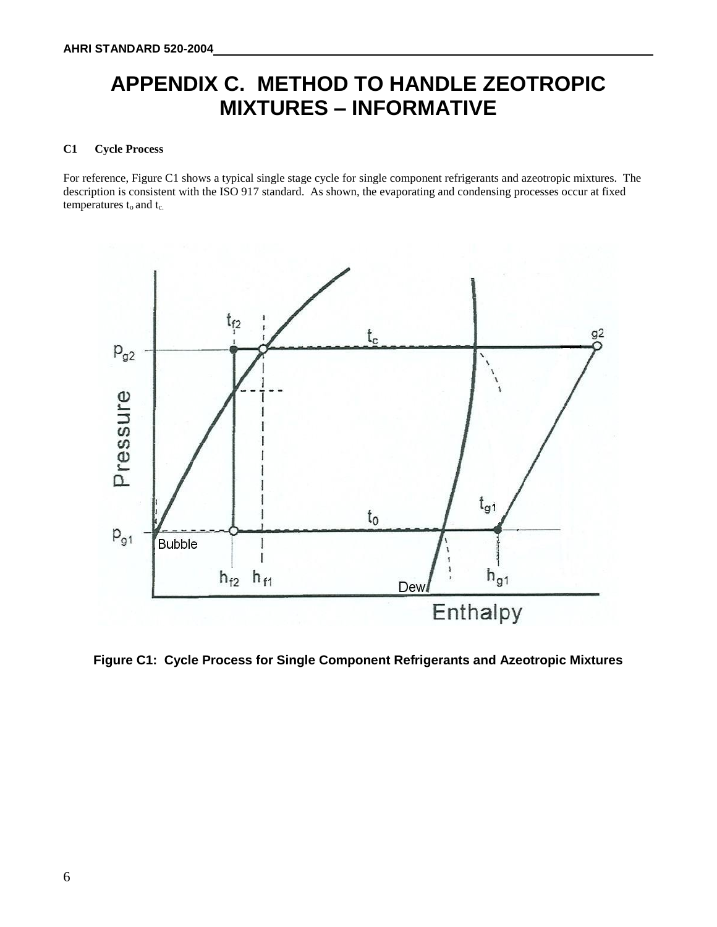# **APPENDIX C. METHOD TO HANDLE ZEOTROPIC MIXTURES – INFORMATIVE**

#### **C1 Cycle Process**

For reference, Figure C1 shows a typical single stage cycle for single component refrigerants and azeotropic mixtures. The description is consistent with the ISO 917 standard. As shown, the evaporating and condensing processes occur at fixed temperatures  $t_0$  and  $t_c$ .



**Figure C1: Cycle Process for Single Component Refrigerants and Azeotropic Mixtures**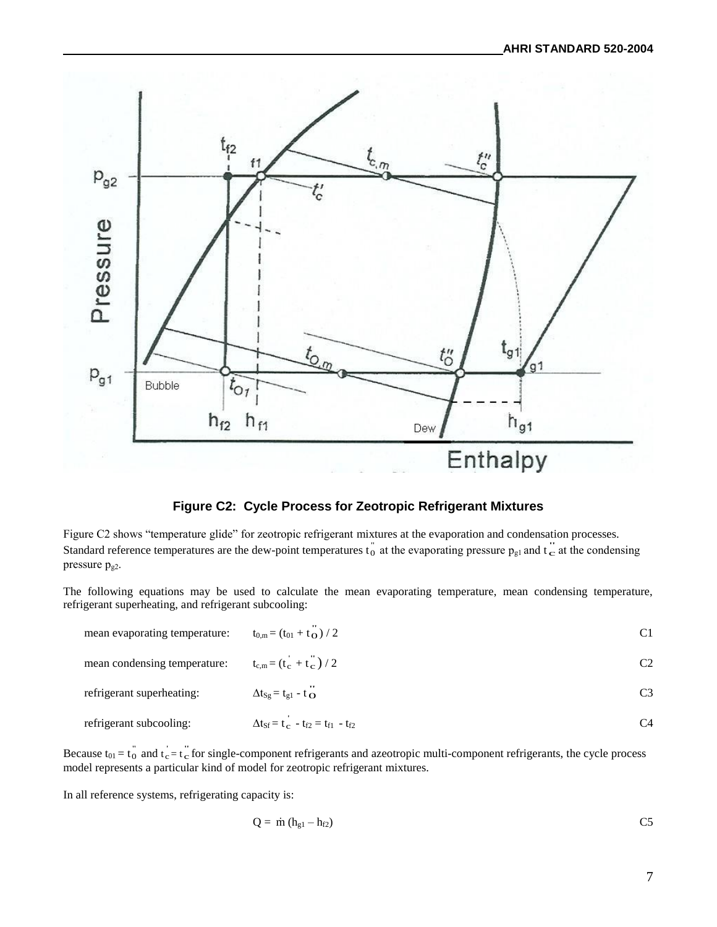

#### **Figure C2: Cycle Process for Zeotropic Refrigerant Mixtures**

Figure C2 shows "temperature glide" for zeotropic refrigerant mixtures at the evaporation and condensation processes. Standard reference temperatures are the dew-point temperatures  $t_0^{\dagger}$  at the evaporating pressure  $p_{gl}$  and  $t_c^{\dagger}$  at the condensing pressure pg2.

The following equations may be used to calculate the mean evaporating temperature, mean condensing temperature, refrigerant superheating, and refrigerant subcooling:

| mean evaporating temperature: | $t_{0,m} = (t_{01} + t_{\Omega})/2$                                    | C1            |
|-------------------------------|------------------------------------------------------------------------|---------------|
| mean condensing temperature:  | $t_{c,m} = (t_c + t_c) / 2$                                            | $\mathcal{C}$ |
| refrigerant superheating:     | $\Delta t_{Sg} = t_{g1} - t_{\Omega}$                                  | C3            |
| refrigerant subcooling:       | $\Delta t_{\rm sf} = t_{\rm c} - t_{\rm f2} = t_{\rm f1} - t_{\rm f2}$ | C4            |

Because  $t_{01} = t_0^{\dagger}$  and  $t_c = t_c^{\dagger}$  for single-component refrigerants and azeotropic multi-component refrigerants, the cycle process model represents a particular kind of model for zeotropic refrigerant mixtures.

In all reference systems, refrigerating capacity is:

$$
Q = \dot{m} (h_{g1} - h_{f2})
$$
 C5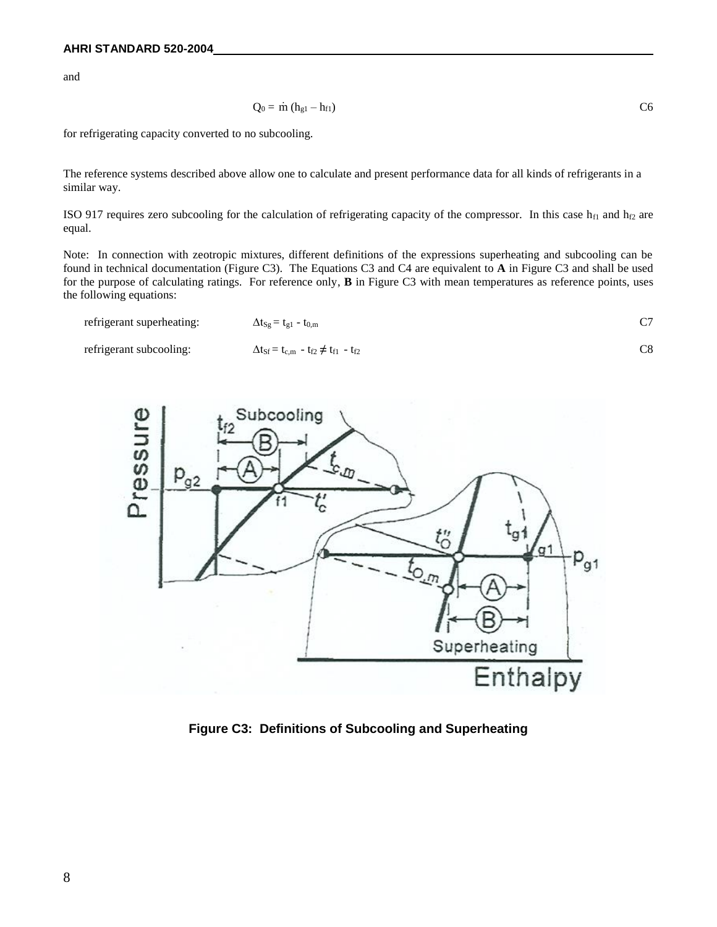and

$$
Q_0 = \dot{m} (h_{g1} - h_{f1})
$$

for refrigerating capacity converted to no subcooling.

The reference systems described above allow one to calculate and present performance data for all kinds of refrigerants in a similar way.

ISO 917 requires zero subcooling for the calculation of refrigerating capacity of the compressor. In this case  $h_{f1}$  and  $h_{f2}$  are equal.

Note: In connection with zeotropic mixtures, different definitions of the expressions superheating and subcooling can be found in technical documentation (Figure C3). The Equations C3 and C4 are equivalent to **A** in Figure C3 and shall be used for the purpose of calculating ratings. For reference only, **B** in Figure C3 with mean temperatures as reference points, uses the following equations:

| refrigerant superheating: | $\Delta t_{\text{Sg}} = t_{\text{g1}} - t_{0,\text{m}}$                     |  |
|---------------------------|-----------------------------------------------------------------------------|--|
| refrigerant subcooling:   | $\Delta t_{\rm Sf} = t_{\rm c,m} - t_{\rm f2} \neq t_{\rm f1} - t_{\rm f2}$ |  |



**Figure C3: Definitions of Subcooling and Superheating**